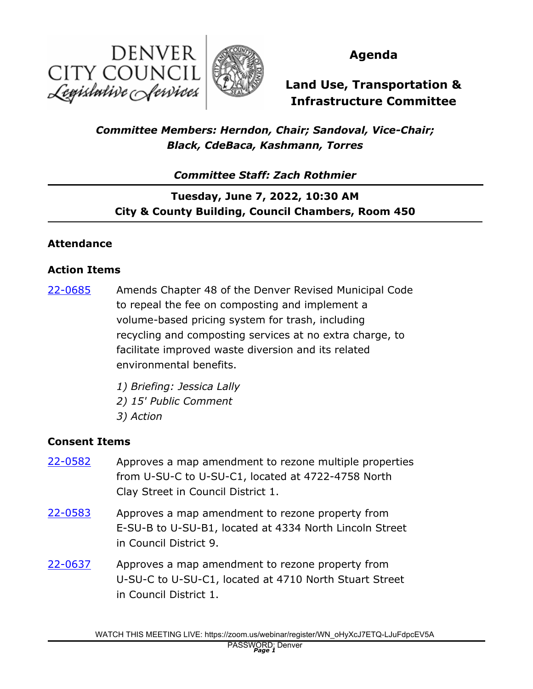



# **Agenda**

# **Land Use, Transportation & Infrastructure Committee**

# *Committee Members: Herndon, Chair; Sandoval, Vice-Chair; Black, CdeBaca, Kashmann, Torres*

*Committee Staff: Zach Rothmier*

**Tuesday, June 7, 2022, 10:30 AM City & County Building, Council Chambers, Room 450**

#### **Attendance**

#### **Action Items**

Amends Chapter 48 of the Denver Revised Municipal Code to repeal the fee on composting and implement a volume-based pricing system for trash, including recycling and composting services at no extra charge, to facilitate improved waste diversion and its related environmental benefits. [22-0685](http://denver.legistar.com/gateway.aspx?m=l&id=/matter.aspx?key=21752)

> *1) Briefing: Jessica Lally 2) 15' Public Comment 3) Action*

#### **Consent Items**

- Approves a map amendment to rezone multiple properties from U-SU-C to U-SU-C1, located at 4722-4758 North Clay Street in Council District 1. [22-0582](http://denver.legistar.com/gateway.aspx?m=l&id=/matter.aspx?key=21649)
- Approves a map amendment to rezone property from E-SU-B to U-SU-B1, located at 4334 North Lincoln Street in Council District 9. [22-0583](http://denver.legistar.com/gateway.aspx?m=l&id=/matter.aspx?key=21650)
- Approves a map amendment to rezone property from U-SU-C to U-SU-C1, located at 4710 North Stuart Street in Council District 1. [22-0637](http://denver.legistar.com/gateway.aspx?m=l&id=/matter.aspx?key=21704)

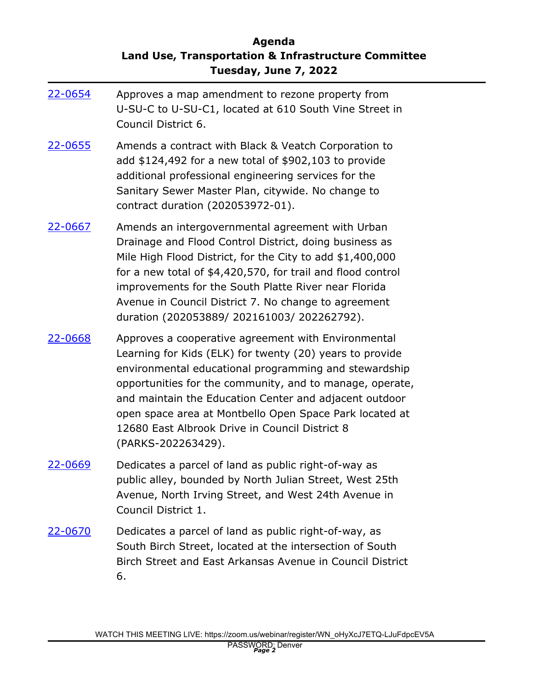## **Agenda Land Use, Transportation & Infrastructure Committee Tuesday, June 7, 2022**

| 22-0654        | Approves a map amendment to rezone property from<br>U-SU-C to U-SU-C1, located at 610 South Vine Street in<br>Council District 6.                                                                                                                                                                                                                                                                                                 |
|----------------|-----------------------------------------------------------------------------------------------------------------------------------------------------------------------------------------------------------------------------------------------------------------------------------------------------------------------------------------------------------------------------------------------------------------------------------|
| 22-0655        | Amends a contract with Black & Veatch Corporation to<br>add \$124,492 for a new total of \$902,103 to provide<br>additional professional engineering services for the<br>Sanitary Sewer Master Plan, citywide. No change to<br>contract duration (202053972-01).                                                                                                                                                                  |
| 22-0667        | Amends an intergovernmental agreement with Urban<br>Drainage and Flood Control District, doing business as<br>Mile High Flood District, for the City to add \$1,400,000<br>for a new total of \$4,420,570, for trail and flood control<br>improvements for the South Platte River near Florida<br>Avenue in Council District 7. No change to agreement<br>duration (202053889/202161003/202262792).                               |
| <u>22-0668</u> | Approves a cooperative agreement with Environmental<br>Learning for Kids (ELK) for twenty (20) years to provide<br>environmental educational programming and stewardship<br>opportunities for the community, and to manage, operate,<br>and maintain the Education Center and adjacent outdoor<br>open space area at Montbello Open Space Park located at<br>12680 East Albrook Drive in Council District 8<br>(PARKS-202263429). |
| 22-0669        | Dedicates a parcel of land as public right-of-way as<br>public alley, bounded by North Julian Street, West 25th<br>Avenue, North Irving Street, and West 24th Avenue in<br>Council District 1.                                                                                                                                                                                                                                    |
| <u>22-0670</u> | Dedicates a parcel of land as public right-of-way, as<br>South Birch Street, located at the intersection of South<br>Birch Street and East Arkansas Avenue in Council District<br>6.                                                                                                                                                                                                                                              |